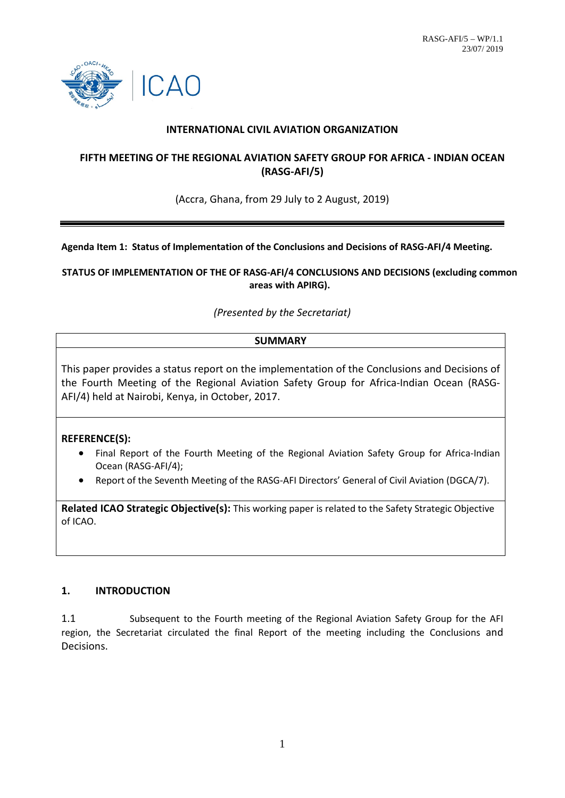

## **INTERNATIONAL CIVIL AVIATION ORGANIZATION**

## **FIFTH MEETING OF THE REGIONAL AVIATION SAFETY GROUP FOR AFRICA - INDIAN OCEAN (RASG-AFI/5)**

(Accra, Ghana, from 29 July to 2 August, 2019)

**Agenda Item 1: Status of Implementation of the Conclusions and Decisions of RASG-AFI/4 Meeting.**

**STATUS OF IMPLEMENTATION OF THE OF RASG-AFI/4 CONCLUSIONS AND DECISIONS (excluding common areas with APIRG).**

*(Presented by the Secretariat)*

## **SUMMARY**

This paper provides a status report on the implementation of the Conclusions and Decisions of the Fourth Meeting of the Regional Aviation Safety Group for Africa-Indian Ocean (RASG-AFI/4) held at Nairobi, Kenya, in October, 2017.

#### **REFERENCE(S):**

- Final Report of the Fourth Meeting of the Regional Aviation Safety Group for Africa-Indian Ocean (RASG-AFI/4);
- Report of the Seventh Meeting of the RASG-AFI Directors' General of Civil Aviation (DGCA/7).

**Related ICAO Strategic Objective(s):** This working paper is related to the Safety Strategic Objective of ICAO.

## **1. INTRODUCTION**

1.1 Subsequent to the Fourth meeting of the Regional Aviation Safety Group for the AFI region, the Secretariat circulated the final Report of the meeting including the Conclusions and Decisions.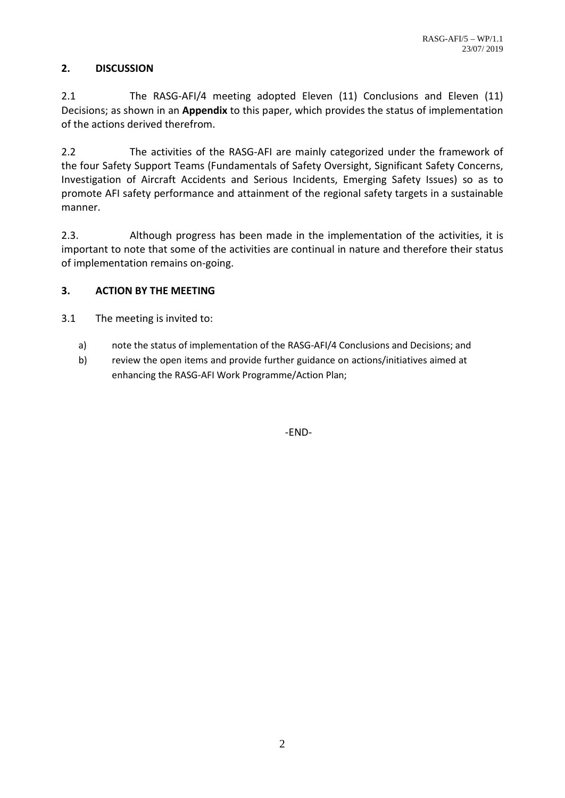# **2. DISCUSSION**

2.1 The RASG-AFI/4 meeting adopted Eleven (11) Conclusions and Eleven (11) Decisions; as shown in an **Appendix** to this paper, which provides the status of implementation of the actions derived therefrom.

2.2 The activities of the RASG-AFI are mainly categorized under the framework of the four Safety Support Teams (Fundamentals of Safety Oversight, Significant Safety Concerns, Investigation of Aircraft Accidents and Serious Incidents, Emerging Safety Issues) so as to promote AFI safety performance and attainment of the regional safety targets in a sustainable manner.

2.3. Although progress has been made in the implementation of the activities, it is important to note that some of the activities are continual in nature and therefore their status of implementation remains on-going.

## **3. ACTION BY THE MEETING**

3.1 The meeting is invited to:

- a) note the status of implementation of the RASG-AFI/4 Conclusions and Decisions; and
- b) review the open items and provide further guidance on actions/initiatives aimed at enhancing the RASG-AFI Work Programme/Action Plan;

-END-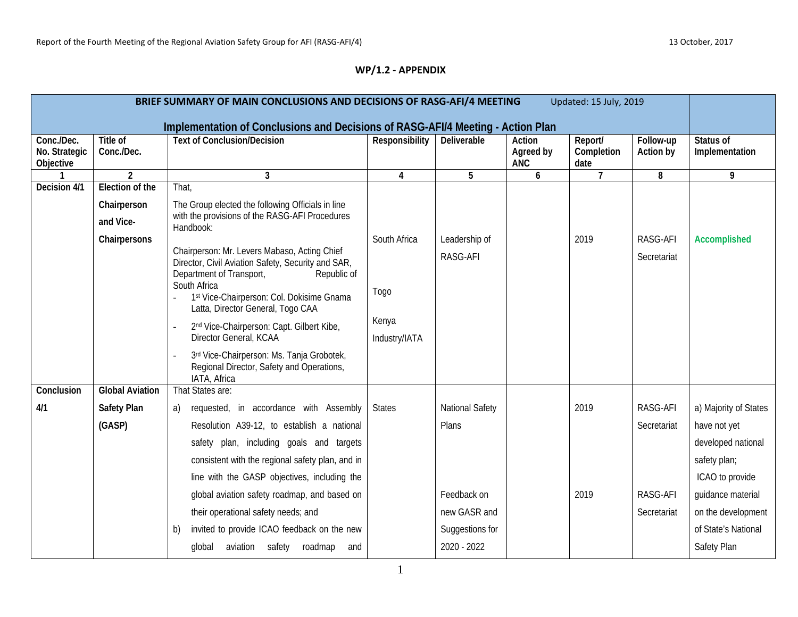# **WP/1.2 - APPENDIX**

| BRIEF SUMMARY OF MAIN CONCLUSIONS AND DECISIONS OF RASG-AFI/4 MEETING<br>Updated: 15 July, 2019 |                               |                                                                                                                                           |                        |                 |                                   |                               |                        |                             |
|-------------------------------------------------------------------------------------------------|-------------------------------|-------------------------------------------------------------------------------------------------------------------------------------------|------------------------|-----------------|-----------------------------------|-------------------------------|------------------------|-----------------------------|
|                                                                                                 |                               | Implementation of Conclusions and Decisions of RASG-AFI/4 Meeting - Action Plan                                                           |                        |                 |                                   |                               |                        |                             |
| Conc./Dec.<br>No. Strategic<br>Objective                                                        | <b>Title of</b><br>Conc./Dec. | <b>Text of Conclusion/Decision</b>                                                                                                        | Responsibility         | Deliverable     | Action<br>Agreed by<br><b>ANC</b> | Report/<br>Completion<br>date | Follow-up<br>Action by | Status of<br>Implementation |
|                                                                                                 | $\overline{2}$                | $\mathbf{3}$                                                                                                                              | 4                      | 5               | 6                                 | $\overline{7}$                | 8                      | 9                           |
| Decision 4/1                                                                                    | <b>Election of the</b>        | That,                                                                                                                                     |                        |                 |                                   |                               |                        |                             |
|                                                                                                 | Chairperson                   | The Group elected the following Officials in line                                                                                         |                        |                 |                                   |                               |                        |                             |
|                                                                                                 | and Vice-                     | with the provisions of the RASG-AFI Procedures<br>Handbook:                                                                               |                        |                 |                                   |                               |                        |                             |
|                                                                                                 | Chairpersons                  |                                                                                                                                           | South Africa           | Leadership of   |                                   | 2019                          | RASG-AFI               | <b>Accomplished</b>         |
|                                                                                                 |                               | Chairperson: Mr. Levers Mabaso, Acting Chief<br>Director, Civil Aviation Safety, Security and SAR,                                        |                        | RASG-AFI        |                                   |                               | Secretariat            |                             |
|                                                                                                 |                               | Department of Transport,<br>Republic of<br>South Africa<br>1st Vice-Chairperson: Col. Dokisime Gnama<br>Latta, Director General, Togo CAA | <b>Togo</b>            |                 |                                   |                               |                        |                             |
|                                                                                                 |                               | 2 <sup>nd</sup> Vice-Chairperson: Capt. Gilbert Kibe,<br>Director General, KCAA                                                           | Kenya<br>Industry/IATA |                 |                                   |                               |                        |                             |
|                                                                                                 |                               | 3rd Vice-Chairperson: Ms. Tanja Grobotek,<br>Regional Director, Safety and Operations,<br>IATA, Africa                                    |                        |                 |                                   |                               |                        |                             |
| Conclusion                                                                                      | <b>Global Aviation</b>        | That States are:                                                                                                                          |                        |                 |                                   |                               |                        |                             |
| 4/1                                                                                             | <b>Safety Plan</b>            | requested, in accordance with Assembly<br>a)                                                                                              | <b>States</b>          | National Safety |                                   | 2019                          | RASG-AFI               | a) Majority of States       |
|                                                                                                 | (GASP)                        | Resolution A39-12, to establish a national                                                                                                |                        | Plans           |                                   |                               | Secretariat            | have not yet                |
|                                                                                                 |                               | safety plan, including goals and targets                                                                                                  |                        |                 |                                   |                               |                        | developed national          |
|                                                                                                 |                               | consistent with the regional safety plan, and in                                                                                          |                        |                 |                                   |                               |                        | safety plan;                |
|                                                                                                 |                               | line with the GASP objectives, including the                                                                                              |                        |                 |                                   |                               |                        | ICAO to provide             |
|                                                                                                 |                               | global aviation safety roadmap, and based on                                                                                              |                        | Feedback on     |                                   | 2019                          | RASG-AFI               | guidance material           |
|                                                                                                 |                               | their operational safety needs; and                                                                                                       |                        | new GASR and    |                                   |                               | Secretariat            | on the development          |
|                                                                                                 |                               | invited to provide ICAO feedback on the new<br>b)                                                                                         |                        | Suggestions for |                                   |                               |                        | of State's National         |
|                                                                                                 |                               | aviation safety roadmap and<br>global                                                                                                     |                        | 2020 - 2022     |                                   |                               |                        | Safety Plan                 |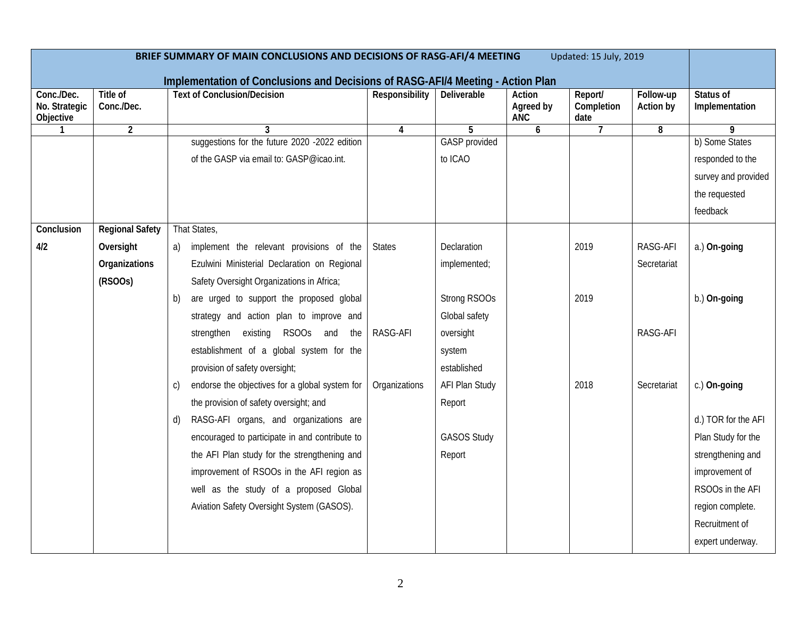| BRIEF SUMMARY OF MAIN CONCLUSIONS AND DECISIONS OF RASG-AFI/4 MEETING<br>Updated: 15 July, 2019 |                        |                                                                                                                       |                |                      |                         |                    |             |                     |
|-------------------------------------------------------------------------------------------------|------------------------|-----------------------------------------------------------------------------------------------------------------------|----------------|----------------------|-------------------------|--------------------|-------------|---------------------|
| Conc./Dec.                                                                                      | Title of               | Implementation of Conclusions and Decisions of RASG-AFI/4 Meeting - Action Plan<br><b>Text of Conclusion/Decision</b> | Responsibility | Deliverable          | Action                  | Report/            | Follow-up   | Status of           |
| No. Strategic<br>Objective                                                                      | Conc./Dec.             |                                                                                                                       |                |                      | Agreed by<br><b>ANC</b> | Completion<br>date | Action by   | Implementation      |
| $\mathbf{1}$                                                                                    | $\overline{2}$         | 3                                                                                                                     | 4              | 5                    | 6                       | $\overline{7}$     | 8           | 9                   |
|                                                                                                 |                        | suggestions for the future 2020 -2022 edition                                                                         |                | <b>GASP</b> provided |                         |                    |             | b) Some States      |
|                                                                                                 |                        | of the GASP via email to: GASP@icao.int.                                                                              |                | to ICAO              |                         |                    |             | responded to the    |
|                                                                                                 |                        |                                                                                                                       |                |                      |                         |                    |             | survey and provided |
|                                                                                                 |                        |                                                                                                                       |                |                      |                         |                    |             | the requested       |
|                                                                                                 |                        |                                                                                                                       |                |                      |                         |                    |             | feedback            |
| Conclusion                                                                                      | <b>Regional Safety</b> | That States,                                                                                                          |                |                      |                         |                    |             |                     |
| 4/2                                                                                             | Oversight              | a) implement the relevant provisions of the                                                                           | <b>States</b>  | Declaration          |                         | 2019               | RASG-AFI    | a.) On-going        |
|                                                                                                 | Organizations          | Ezulwini Ministerial Declaration on Regional                                                                          |                | implemented;         |                         |                    | Secretariat |                     |
|                                                                                                 | (RSOOS)                | Safety Oversight Organizations in Africa;                                                                             |                |                      |                         |                    |             |                     |
|                                                                                                 |                        | are urged to support the proposed global<br>b)                                                                        |                | Strong RSOOs         |                         | 2019               |             | b.) On-going        |
|                                                                                                 |                        | strategy and action plan to improve and                                                                               |                | Global safety        |                         |                    |             |                     |
|                                                                                                 |                        | existing RSOOs and<br>strengthen<br>the                                                                               | RASG-AFI       | oversight            |                         |                    | RASG-AFI    |                     |
|                                                                                                 |                        | establishment of a global system for the                                                                              |                | system               |                         |                    |             |                     |
|                                                                                                 |                        | provision of safety oversight;                                                                                        |                | established          |                         |                    |             |                     |
|                                                                                                 |                        | endorse the objectives for a global system for<br>C)                                                                  | Organizations  | AFI Plan Study       |                         | 2018               | Secretariat | c.) On-going        |
|                                                                                                 |                        | the provision of safety oversight; and                                                                                |                | Report               |                         |                    |             |                     |
|                                                                                                 |                        | RASG-AFI organs, and organizations are<br>d)                                                                          |                |                      |                         |                    |             | d.) TOR for the AFI |
|                                                                                                 |                        | encouraged to participate in and contribute to                                                                        |                | <b>GASOS Study</b>   |                         |                    |             | Plan Study for the  |
|                                                                                                 |                        | the AFI Plan study for the strengthening and                                                                          |                | Report               |                         |                    |             | strengthening and   |
|                                                                                                 |                        | improvement of RSOOs in the AFI region as                                                                             |                |                      |                         |                    |             | improvement of      |
|                                                                                                 |                        | well as the study of a proposed Global                                                                                |                |                      |                         |                    |             | RSOOs in the AFI    |
|                                                                                                 |                        | Aviation Safety Oversight System (GASOS).                                                                             |                |                      |                         |                    |             | region complete.    |
|                                                                                                 |                        |                                                                                                                       |                |                      |                         |                    |             | Recruitment of      |
|                                                                                                 |                        |                                                                                                                       |                |                      |                         |                    |             | expert underway.    |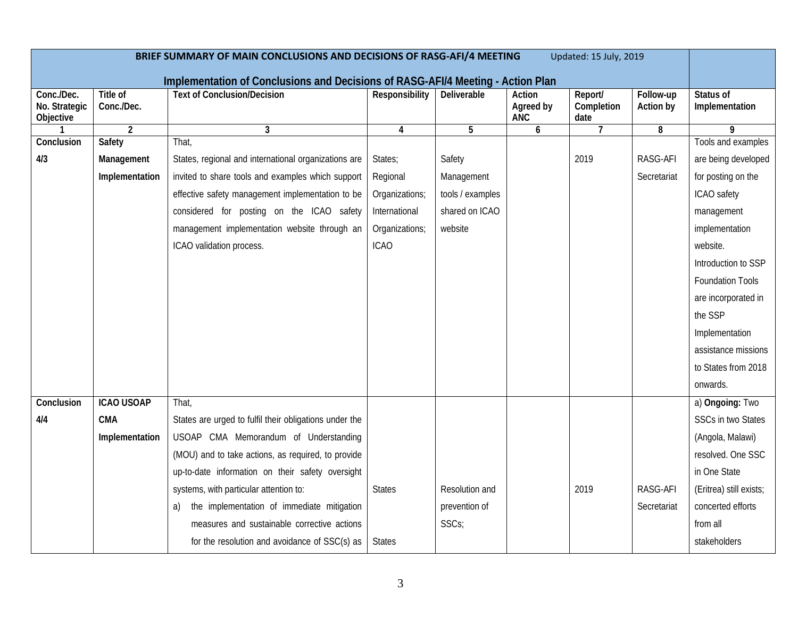| BRIEF SUMMARY OF MAIN CONCLUSIONS AND DECISIONS OF RASG-AFI/4 MEETING<br>Updated: 15 July, 2019 |                               |                                                                                 |                |                  |                            |                               |                        |                             |
|-------------------------------------------------------------------------------------------------|-------------------------------|---------------------------------------------------------------------------------|----------------|------------------|----------------------------|-------------------------------|------------------------|-----------------------------|
|                                                                                                 |                               | Implementation of Conclusions and Decisions of RASG-AFI/4 Meeting - Action Plan |                |                  |                            |                               |                        |                             |
| Conc./Dec.<br>No. Strategic<br>Objective                                                        | <b>Title of</b><br>Conc./Dec. | <b>Text of Conclusion/Decision</b>                                              | Responsibility | Deliverable      | Action<br>Agreed by<br>ANC | Report/<br>Completion<br>date | Follow-up<br>Action by | Status of<br>Implementation |
|                                                                                                 | $\overline{2}$                | 3                                                                               | 4              | 5                | 6                          | $\overline{7}$                | 8                      | 9                           |
| Conclusion                                                                                      | Safety                        | That,                                                                           |                |                  |                            |                               |                        | Tools and examples          |
| 4/3                                                                                             | Management                    | States, regional and international organizations are                            | States;        | Safety           |                            | 2019                          | RASG-AFI               | are being developed         |
|                                                                                                 | Implementation                | invited to share tools and examples which support                               | Regional       | Management       |                            |                               | Secretariat            | for posting on the          |
|                                                                                                 |                               | effective safety management implementation to be                                | Organizations; | tools / examples |                            |                               |                        | ICAO safety                 |
|                                                                                                 |                               | considered for posting on the ICAO safety                                       | International  | shared on ICAO   |                            |                               |                        | management                  |
|                                                                                                 |                               | management implementation website through an                                    | Organizations; | website          |                            |                               |                        | implementation              |
|                                                                                                 |                               | ICAO validation process.                                                        | <b>ICAO</b>    |                  |                            |                               |                        | website.                    |
|                                                                                                 |                               |                                                                                 |                |                  |                            |                               |                        | Introduction to SSP         |
|                                                                                                 |                               |                                                                                 |                |                  |                            |                               |                        | <b>Foundation Tools</b>     |
|                                                                                                 |                               |                                                                                 |                |                  |                            |                               |                        | are incorporated in         |
|                                                                                                 |                               |                                                                                 |                |                  |                            |                               |                        | the SSP                     |
|                                                                                                 |                               |                                                                                 |                |                  |                            |                               |                        | Implementation              |
|                                                                                                 |                               |                                                                                 |                |                  |                            |                               |                        | assistance missions         |
|                                                                                                 |                               |                                                                                 |                |                  |                            |                               |                        | to States from 2018         |
|                                                                                                 |                               |                                                                                 |                |                  |                            |                               |                        | onwards.                    |
| Conclusion                                                                                      | <b>ICAO USOAP</b>             | That,                                                                           |                |                  |                            |                               |                        | a) Ongoing: Two             |
| 4/4                                                                                             | <b>CMA</b>                    | States are urged to fulfil their obligations under the                          |                |                  |                            |                               |                        | <b>SSCs in two States</b>   |
|                                                                                                 | Implementation                | USOAP CMA Memorandum of Understanding                                           |                |                  |                            |                               |                        | (Angola, Malawi)            |
|                                                                                                 |                               | (MOU) and to take actions, as required, to provide                              |                |                  |                            |                               |                        | resolved. One SSC           |
|                                                                                                 |                               | up-to-date information on their safety oversight                                |                |                  |                            |                               |                        | in One State                |
|                                                                                                 |                               | systems, with particular attention to:                                          | <b>States</b>  | Resolution and   |                            | 2019                          | RASG-AFI               | (Eritrea) still exists;     |
|                                                                                                 |                               | the implementation of immediate mitigation<br>a)                                |                | prevention of    |                            |                               | Secretariat            | concerted efforts           |
|                                                                                                 |                               | measures and sustainable corrective actions                                     |                | SSCs;            |                            |                               |                        | from all                    |
|                                                                                                 |                               | for the resolution and avoidance of SSC(s) as                                   | <b>States</b>  |                  |                            |                               |                        | stakeholders                |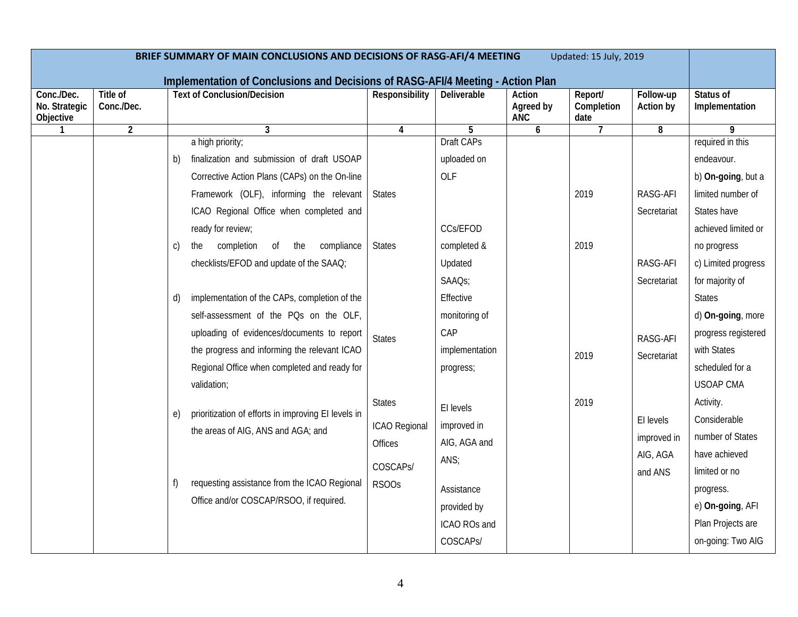| BRIEF SUMMARY OF MAIN CONCLUSIONS AND DECISIONS OF RASG-AFI/4 MEETING<br>Updated: 15 July, 2019<br>Implementation of Conclusions and Decisions of RASG-AFI/4 Meeting - Action Plan |                        |                                                           |                       |                     |                                   |                               |                        |                             |
|------------------------------------------------------------------------------------------------------------------------------------------------------------------------------------|------------------------|-----------------------------------------------------------|-----------------------|---------------------|-----------------------------------|-------------------------------|------------------------|-----------------------------|
| Conc./Dec.<br>No. Strategic<br>Objective                                                                                                                                           | Title of<br>Conc./Dec. | <b>Text of Conclusion/Decision</b>                        | <b>Responsibility</b> | Deliverable         | Action<br>Agreed by<br><b>ANC</b> | Report/<br>Completion<br>date | Follow-up<br>Action by | Status of<br>Implementation |
| 1                                                                                                                                                                                  | $\overline{2}$         | 3                                                         | 4                     | 5                   | 6                                 | 7                             | 8                      | 9                           |
|                                                                                                                                                                                    |                        | a high priority;                                          |                       | <b>Draft CAPs</b>   |                                   |                               |                        | required in this            |
|                                                                                                                                                                                    |                        | finalization and submission of draft USOAP<br>b)          |                       | uploaded on         |                                   |                               |                        | endeavour.                  |
|                                                                                                                                                                                    |                        | Corrective Action Plans (CAPs) on the On-line             |                       | OLF                 |                                   |                               |                        | b) On-going, but a          |
|                                                                                                                                                                                    |                        | Framework (OLF), informing the relevant                   | <b>States</b>         |                     |                                   | 2019                          | RASG-AFI               | limited number of           |
|                                                                                                                                                                                    |                        | ICAO Regional Office when completed and                   |                       |                     |                                   |                               | Secretariat            | States have                 |
|                                                                                                                                                                                    |                        | ready for review;                                         |                       | CCs/EFOD            |                                   |                               |                        | achieved limited or         |
|                                                                                                                                                                                    |                        | completion<br>of the<br>compliance<br>$\mathsf{C}$<br>the | <b>States</b>         | completed &         |                                   | 2019                          |                        | no progress                 |
|                                                                                                                                                                                    |                        | checklists/EFOD and update of the SAAQ;                   |                       | Updated             |                                   |                               | RASG-AFI               | c) Limited progress         |
|                                                                                                                                                                                    |                        |                                                           |                       | SAAQ <sub>S</sub> ; |                                   |                               | Secretariat            | for majority of             |
|                                                                                                                                                                                    |                        | implementation of the CAPs, completion of the<br>d)       |                       | Effective           |                                   |                               |                        | <b>States</b>               |
|                                                                                                                                                                                    |                        | self-assessment of the PQs on the OLF,                    |                       | monitoring of       |                                   |                               |                        | d) On-going, more           |
|                                                                                                                                                                                    |                        | uploading of evidences/documents to report                | <b>States</b>         | CAP                 |                                   |                               | RASG-AFI               | progress registered         |
|                                                                                                                                                                                    |                        | the progress and informing the relevant ICAO              |                       | implementation      |                                   | 2019                          | Secretariat            | with States                 |
|                                                                                                                                                                                    |                        | Regional Office when completed and ready for              |                       | progress;           |                                   |                               |                        | scheduled for a             |
|                                                                                                                                                                                    |                        | validation;                                               |                       |                     |                                   |                               |                        | <b>USOAP CMA</b>            |
|                                                                                                                                                                                    |                        |                                                           | <b>States</b>         | El levels           |                                   | 2019                          |                        | Activity.                   |
|                                                                                                                                                                                    |                        | prioritization of efforts in improving EI levels in<br>e) | ICAO Regional         | improved in         |                                   |                               | El levels              | Considerable                |
|                                                                                                                                                                                    |                        | the areas of AIG, ANS and AGA; and                        | Offices               | AIG, AGA and        |                                   |                               | improved in            | number of States            |
|                                                                                                                                                                                    |                        |                                                           |                       | ANS;                |                                   |                               | AIG, AGA               | have achieved               |
|                                                                                                                                                                                    |                        |                                                           | COSCAPS/              |                     |                                   |                               | and ANS                | limited or no               |
|                                                                                                                                                                                    |                        | requesting assistance from the ICAO Regional<br>f)        | RSOO <sub>S</sub>     | Assistance          |                                   |                               |                        | progress.                   |
|                                                                                                                                                                                    |                        | Office and/or COSCAP/RSOO, if required.                   |                       | provided by         |                                   |                               |                        | e) On-going, AFI            |
|                                                                                                                                                                                    |                        |                                                           |                       | ICAO ROs and        |                                   |                               |                        | Plan Projects are           |
|                                                                                                                                                                                    |                        |                                                           |                       | COSCAPS/            |                                   |                               |                        | on-going: Two AIG           |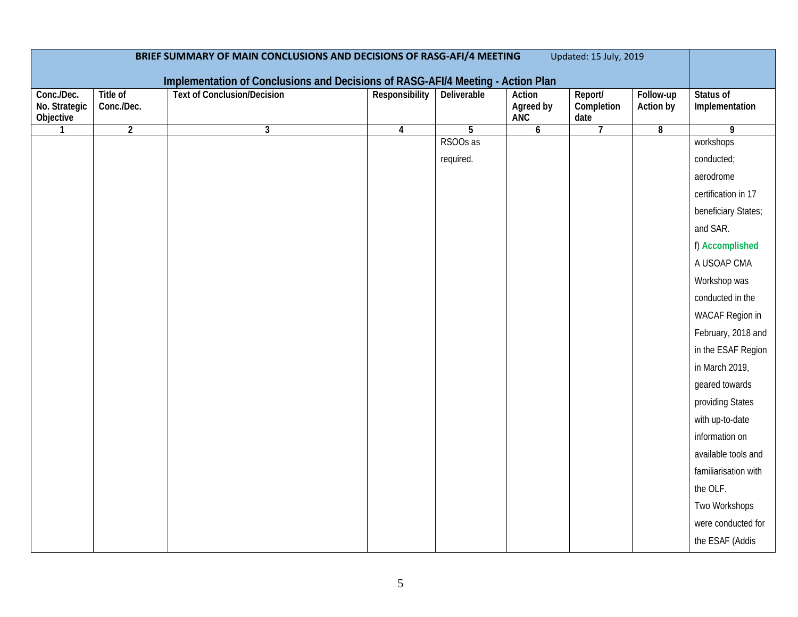| BRIEF SUMMARY OF MAIN CONCLUSIONS AND DECISIONS OF RASG-AFI/4 MEETING<br>Updated: 15 July, 2019<br>Implementation of Conclusions and Decisions of RASG-AFI/4 Meeting - Action Plan |                        |                                    |                         |                    |                            |                               |                        |                             |
|------------------------------------------------------------------------------------------------------------------------------------------------------------------------------------|------------------------|------------------------------------|-------------------------|--------------------|----------------------------|-------------------------------|------------------------|-----------------------------|
| Conc./Dec.<br>No. Strategic<br>Objective                                                                                                                                           | Title of<br>Conc./Dec. | <b>Text of Conclusion/Decision</b> | Responsibility          | <b>Deliverable</b> | Action<br>Agreed by<br>ANC | Report/<br>Completion<br>date | Follow-up<br>Action by | Status of<br>Implementation |
| $\mathbf{1}$                                                                                                                                                                       | $\overline{2}$         | $\mathbf{3}$                       | $\overline{\mathbf{4}}$ | $\overline{5}$     | $\boldsymbol{6}$           | $\overline{7}$                | $\overline{8}$         | $\overline{9}$              |
|                                                                                                                                                                                    |                        |                                    |                         | RSOOs as           |                            |                               |                        | workshops                   |
|                                                                                                                                                                                    |                        |                                    |                         | required.          |                            |                               |                        | conducted;                  |
|                                                                                                                                                                                    |                        |                                    |                         |                    |                            |                               |                        | aerodrome                   |
|                                                                                                                                                                                    |                        |                                    |                         |                    |                            |                               |                        | certification in 17         |
|                                                                                                                                                                                    |                        |                                    |                         |                    |                            |                               |                        | beneficiary States;         |
|                                                                                                                                                                                    |                        |                                    |                         |                    |                            |                               |                        | and SAR.                    |
|                                                                                                                                                                                    |                        |                                    |                         |                    |                            |                               |                        | f) Accomplished             |
|                                                                                                                                                                                    |                        |                                    |                         |                    |                            |                               |                        | A USOAP CMA                 |
|                                                                                                                                                                                    |                        |                                    |                         |                    |                            |                               |                        | Workshop was                |
|                                                                                                                                                                                    |                        |                                    |                         |                    |                            |                               |                        | conducted in the            |
|                                                                                                                                                                                    |                        |                                    |                         |                    |                            |                               |                        | WACAF Region in             |
|                                                                                                                                                                                    |                        |                                    |                         |                    |                            |                               |                        | February, 2018 and          |
|                                                                                                                                                                                    |                        |                                    |                         |                    |                            |                               |                        | in the ESAF Region          |
|                                                                                                                                                                                    |                        |                                    |                         |                    |                            |                               |                        | in March 2019,              |
|                                                                                                                                                                                    |                        |                                    |                         |                    |                            |                               |                        | geared towards              |
|                                                                                                                                                                                    |                        |                                    |                         |                    |                            |                               |                        | providing States            |
|                                                                                                                                                                                    |                        |                                    |                         |                    |                            |                               |                        | with up-to-date             |
|                                                                                                                                                                                    |                        |                                    |                         |                    |                            |                               |                        | information on              |
|                                                                                                                                                                                    |                        |                                    |                         |                    |                            |                               |                        | available tools and         |
|                                                                                                                                                                                    |                        |                                    |                         |                    |                            |                               |                        | familiarisation with        |
|                                                                                                                                                                                    |                        |                                    |                         |                    |                            |                               |                        | the OLF.                    |
|                                                                                                                                                                                    |                        |                                    |                         |                    |                            |                               |                        | Two Workshops               |
|                                                                                                                                                                                    |                        |                                    |                         |                    |                            |                               |                        | were conducted for          |
|                                                                                                                                                                                    |                        |                                    |                         |                    |                            |                               |                        | the ESAF (Addis             |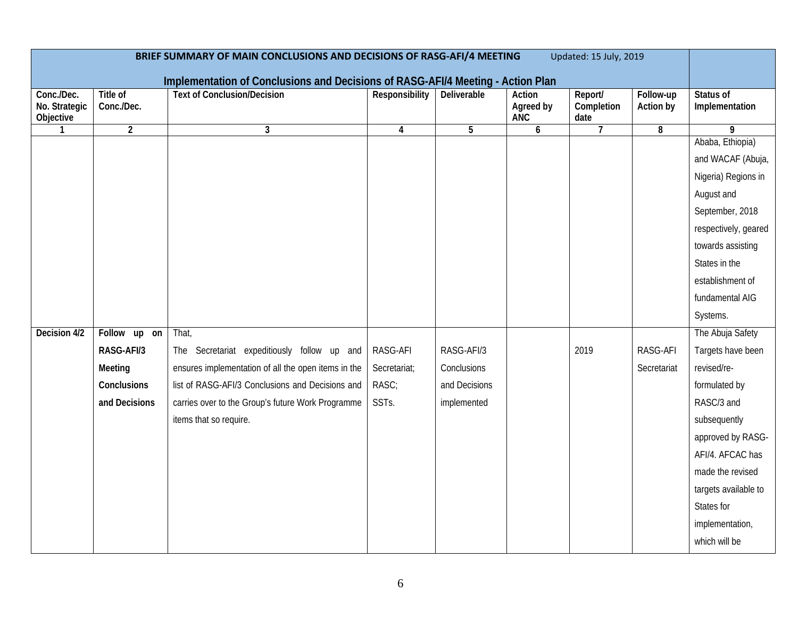| BRIEF SUMMARY OF MAIN CONCLUSIONS AND DECISIONS OF RASG-AFI/4 MEETING<br>Updated: 15 July, 2019<br>Implementation of Conclusions and Decisions of RASG-AFI/4 Meeting - Action Plan |                        |                                                     |                |                |                                          |                               |                         |                             |  |
|------------------------------------------------------------------------------------------------------------------------------------------------------------------------------------|------------------------|-----------------------------------------------------|----------------|----------------|------------------------------------------|-------------------------------|-------------------------|-----------------------------|--|
| Conc./Dec.<br>No. Strategic<br>Objective                                                                                                                                           | Title of<br>Conc./Dec. | <b>Text of Conclusion/Decision</b>                  | Responsibility | Deliverable    | <b>Action</b><br>Agreed by<br><b>ANC</b> | Report/<br>Completion<br>date | Follow-up<br>Action by  | Status of<br>Implementation |  |
| $\mathbf{1}$                                                                                                                                                                       | $\overline{2}$         | 3                                                   | $\pmb{4}$      | $\overline{5}$ | 6                                        | $\overline{7}$                | $\overline{\mathbf{8}}$ | $\overline{9}$              |  |
|                                                                                                                                                                                    |                        |                                                     |                |                |                                          |                               |                         | Ababa, Ethiopia)            |  |
|                                                                                                                                                                                    |                        |                                                     |                |                |                                          |                               |                         | and WACAF (Abuja,           |  |
|                                                                                                                                                                                    |                        |                                                     |                |                |                                          |                               |                         | Nigeria) Regions in         |  |
|                                                                                                                                                                                    |                        |                                                     |                |                |                                          |                               |                         | August and                  |  |
|                                                                                                                                                                                    |                        |                                                     |                |                |                                          |                               |                         | September, 2018             |  |
|                                                                                                                                                                                    |                        |                                                     |                |                |                                          |                               |                         | respectively, geared        |  |
|                                                                                                                                                                                    |                        |                                                     |                |                |                                          |                               |                         | towards assisting           |  |
|                                                                                                                                                                                    |                        |                                                     |                |                |                                          |                               |                         | States in the               |  |
|                                                                                                                                                                                    |                        |                                                     |                |                |                                          |                               |                         | establishment of            |  |
|                                                                                                                                                                                    |                        |                                                     |                |                |                                          |                               |                         | fundamental AIG             |  |
|                                                                                                                                                                                    |                        |                                                     |                |                |                                          |                               |                         | Systems.                    |  |
| Decision 4/2                                                                                                                                                                       | Follow up on           | That,                                               |                |                |                                          |                               |                         | The Abuja Safety            |  |
|                                                                                                                                                                                    | RASG-AFI/3             | The Secretariat expeditiously follow up and         | RASG-AFI       | RASG-AFI/3     |                                          | 2019                          | RASG-AFI                | Targets have been           |  |
|                                                                                                                                                                                    | Meeting                | ensures implementation of all the open items in the | Secretariat;   | Conclusions    |                                          |                               | Secretariat             | revised/re-                 |  |
|                                                                                                                                                                                    | Conclusions            | list of RASG-AFI/3 Conclusions and Decisions and    | RASC;          | and Decisions  |                                          |                               |                         | formulated by               |  |
|                                                                                                                                                                                    | and Decisions          | carries over to the Group's future Work Programme   | SSTs.          | implemented    |                                          |                               |                         | RASC/3 and                  |  |
|                                                                                                                                                                                    |                        | items that so require.                              |                |                |                                          |                               |                         | subsequently                |  |
|                                                                                                                                                                                    |                        |                                                     |                |                |                                          |                               |                         | approved by RASG-           |  |
|                                                                                                                                                                                    |                        |                                                     |                |                |                                          |                               |                         | AFI/4. AFCAC has            |  |
|                                                                                                                                                                                    |                        |                                                     |                |                |                                          |                               |                         | made the revised            |  |
|                                                                                                                                                                                    |                        |                                                     |                |                |                                          |                               |                         | targets available to        |  |
|                                                                                                                                                                                    |                        |                                                     |                |                |                                          |                               |                         | States for                  |  |
|                                                                                                                                                                                    |                        |                                                     |                |                |                                          |                               |                         | implementation,             |  |
|                                                                                                                                                                                    |                        |                                                     |                |                |                                          |                               |                         | which will be               |  |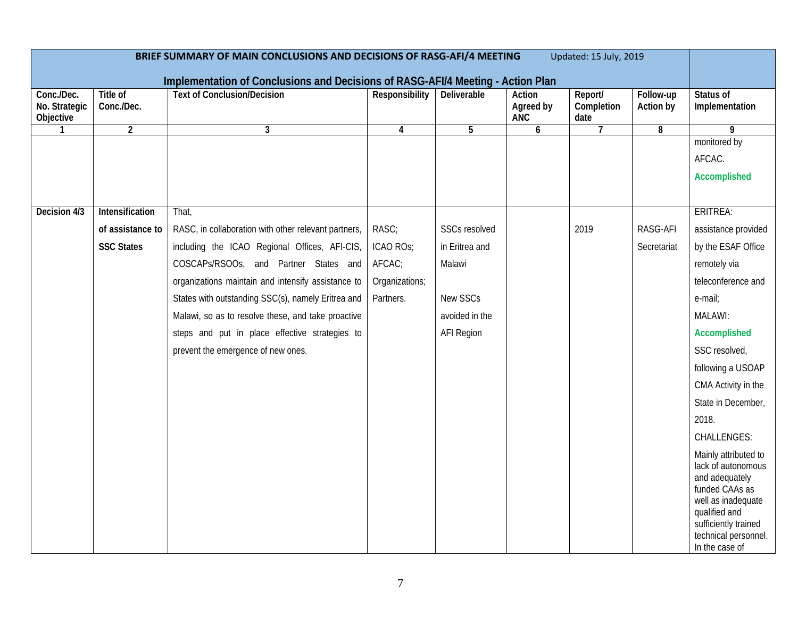| BRIEF SUMMARY OF MAIN CONCLUSIONS AND DECISIONS OF RASG-AFI/4 MEETING<br>Updated: 15 July, 2019 |                        |                                                                                 |                |                   |                                   |                               |                        |                                                                                                                                                                                         |
|-------------------------------------------------------------------------------------------------|------------------------|---------------------------------------------------------------------------------|----------------|-------------------|-----------------------------------|-------------------------------|------------------------|-----------------------------------------------------------------------------------------------------------------------------------------------------------------------------------------|
|                                                                                                 |                        | Implementation of Conclusions and Decisions of RASG-AFI/4 Meeting - Action Plan |                |                   |                                   |                               |                        |                                                                                                                                                                                         |
| Conc./Dec.<br>No. Strategic<br>Objective                                                        | Title of<br>Conc./Dec. | <b>Text of Conclusion/Decision</b>                                              | Responsibility | Deliverable       | Action<br>Agreed by<br><b>ANC</b> | Report/<br>Completion<br>date | Follow-up<br>Action by | Status of<br>Implementation                                                                                                                                                             |
| $\mathbf{1}$                                                                                    | $\overline{2}$         | $\mathbf{3}$                                                                    | 4              | 5                 | 6                                 | $\overline{7}$                | 8                      | 9                                                                                                                                                                                       |
|                                                                                                 |                        |                                                                                 |                |                   |                                   |                               |                        | monitored by                                                                                                                                                                            |
|                                                                                                 |                        |                                                                                 |                |                   |                                   |                               |                        | AFCAC.                                                                                                                                                                                  |
|                                                                                                 |                        |                                                                                 |                |                   |                                   |                               |                        | Accomplished                                                                                                                                                                            |
|                                                                                                 |                        |                                                                                 |                |                   |                                   |                               |                        |                                                                                                                                                                                         |
| Decision 4/3                                                                                    | Intensification        | That,                                                                           |                |                   |                                   |                               |                        | ERITREA:                                                                                                                                                                                |
|                                                                                                 | of assistance to       | RASC, in collaboration with other relevant partners,                            | RASC;          | SSCs resolved     |                                   | 2019                          | RASG-AFI               | assistance provided                                                                                                                                                                     |
|                                                                                                 | <b>SSC States</b>      | including the ICAO Regional Offices, AFI-CIS,                                   | ICAO ROS;      | in Eritrea and    |                                   |                               | Secretariat            | by the ESAF Office                                                                                                                                                                      |
|                                                                                                 |                        | COSCAPs/RSOOs, and Partner States and                                           | AFCAC;         | Malawi            |                                   |                               |                        | remotely via                                                                                                                                                                            |
|                                                                                                 |                        | organizations maintain and intensify assistance to                              | Organizations; |                   |                                   |                               |                        | teleconference and                                                                                                                                                                      |
|                                                                                                 |                        | States with outstanding SSC(s), namely Eritrea and                              | Partners.      | New SSCs          |                                   |                               |                        | e-mail;                                                                                                                                                                                 |
|                                                                                                 |                        | Malawi, so as to resolve these, and take proactive                              |                | avoided in the    |                                   |                               |                        | MALAWI:                                                                                                                                                                                 |
|                                                                                                 |                        | steps and put in place effective strategies to                                  |                | <b>AFI Region</b> |                                   |                               |                        | Accomplished                                                                                                                                                                            |
|                                                                                                 |                        | prevent the emergence of new ones.                                              |                |                   |                                   |                               |                        | SSC resolved,                                                                                                                                                                           |
|                                                                                                 |                        |                                                                                 |                |                   |                                   |                               |                        | following a USOAP                                                                                                                                                                       |
|                                                                                                 |                        |                                                                                 |                |                   |                                   |                               |                        | CMA Activity in the                                                                                                                                                                     |
|                                                                                                 |                        |                                                                                 |                |                   |                                   |                               |                        | State in December,                                                                                                                                                                      |
|                                                                                                 |                        |                                                                                 |                |                   |                                   |                               |                        | 2018.                                                                                                                                                                                   |
|                                                                                                 |                        |                                                                                 |                |                   |                                   |                               |                        | <b>CHALLENGES:</b>                                                                                                                                                                      |
|                                                                                                 |                        |                                                                                 |                |                   |                                   |                               |                        | Mainly attributed to<br>lack of autonomous<br>and adequately<br>funded CAAs as<br>well as inadequate<br>qualified and<br>sufficiently trained<br>technical personnel.<br>In the case of |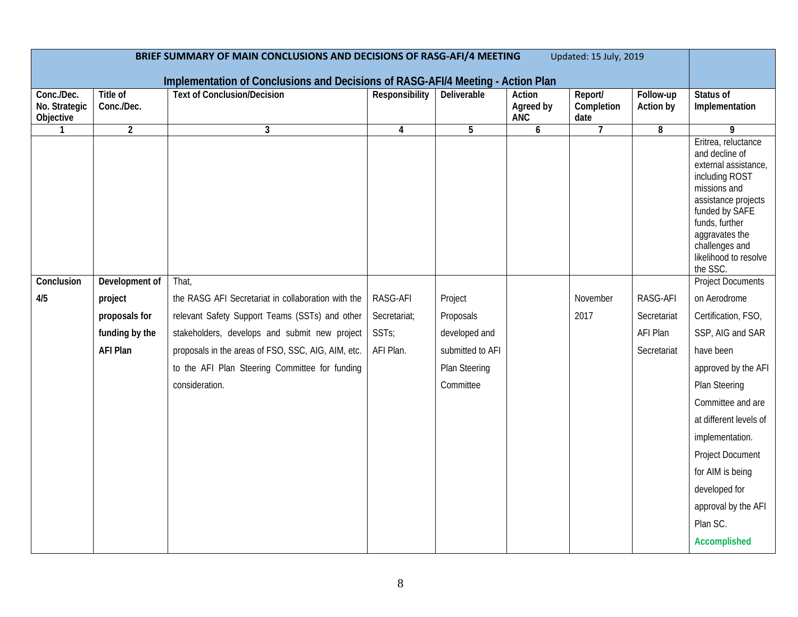| BRIEF SUMMARY OF MAIN CONCLUSIONS AND DECISIONS OF RASG-AFI/4 MEETING<br>Updated: 15 July, 2019 |                                  |                                                                                                                       |                         |                    |                                   |                               |                        |                                                                                                                                                                                                                                                                      |
|-------------------------------------------------------------------------------------------------|----------------------------------|-----------------------------------------------------------------------------------------------------------------------|-------------------------|--------------------|-----------------------------------|-------------------------------|------------------------|----------------------------------------------------------------------------------------------------------------------------------------------------------------------------------------------------------------------------------------------------------------------|
| Conc./Dec.<br>No. Strategic<br>Objective                                                        | Title of<br>Conc./Dec.           | Implementation of Conclusions and Decisions of RASG-AFI/4 Meeting - Action Plan<br><b>Text of Conclusion/Decision</b> | Responsibility          | <b>Deliverable</b> | Action<br>Agreed by<br><b>ANC</b> | Report/<br>Completion<br>date | Follow-up<br>Action by | Status of<br>Implementation                                                                                                                                                                                                                                          |
| $\mathbf{1}$<br>Conclusion                                                                      | $\overline{2}$<br>Development of | 3<br>That,                                                                                                            | $\overline{\mathbf{4}}$ | $5\phantom{.0}$    | 6                                 | $\overline{7}$                | 8                      | 9<br>Eritrea, reluctance<br>and decline of<br>external assistance,<br>including ROST<br>missions and<br>assistance projects<br>funded by SAFE<br>funds, further<br>aggravates the<br>challenges and<br>likelihood to resolve<br>the SSC.<br><b>Project Documents</b> |
| 4/5                                                                                             | project                          | the RASG AFI Secretariat in collaboration with the                                                                    | RASG-AFI                | Project            |                                   | November                      | RASG-AFI               | on Aerodrome                                                                                                                                                                                                                                                         |
|                                                                                                 | proposals for                    | relevant Safety Support Teams (SSTs) and other                                                                        | Secretariat;            | Proposals          |                                   | 2017                          | Secretariat            | Certification, FSO,                                                                                                                                                                                                                                                  |
|                                                                                                 | funding by the                   | stakeholders, develops and submit new project                                                                         | SSTs;                   | developed and      |                                   |                               | AFI Plan               | SSP, AIG and SAR                                                                                                                                                                                                                                                     |
|                                                                                                 | <b>AFI Plan</b>                  | proposals in the areas of FSO, SSC, AIG, AIM, etc.                                                                    | AFI Plan.               | submitted to AFI   |                                   |                               | Secretariat            | have been                                                                                                                                                                                                                                                            |
|                                                                                                 |                                  | to the AFI Plan Steering Committee for funding                                                                        |                         | Plan Steering      |                                   |                               |                        | approved by the AFI                                                                                                                                                                                                                                                  |
|                                                                                                 |                                  | consideration.                                                                                                        |                         | Committee          |                                   |                               |                        | Plan Steering                                                                                                                                                                                                                                                        |
|                                                                                                 |                                  |                                                                                                                       |                         |                    |                                   |                               |                        | Committee and are                                                                                                                                                                                                                                                    |
|                                                                                                 |                                  |                                                                                                                       |                         |                    |                                   |                               |                        | at different levels of                                                                                                                                                                                                                                               |
|                                                                                                 |                                  |                                                                                                                       |                         |                    |                                   |                               |                        | implementation.                                                                                                                                                                                                                                                      |
|                                                                                                 |                                  |                                                                                                                       |                         |                    |                                   |                               |                        | <b>Project Document</b>                                                                                                                                                                                                                                              |
|                                                                                                 |                                  |                                                                                                                       |                         |                    |                                   |                               |                        | for AIM is being                                                                                                                                                                                                                                                     |
|                                                                                                 |                                  |                                                                                                                       |                         |                    |                                   |                               |                        | developed for                                                                                                                                                                                                                                                        |
|                                                                                                 |                                  |                                                                                                                       |                         |                    |                                   |                               |                        | approval by the AFI                                                                                                                                                                                                                                                  |
|                                                                                                 |                                  |                                                                                                                       |                         |                    |                                   |                               |                        | Plan SC.                                                                                                                                                                                                                                                             |
|                                                                                                 |                                  |                                                                                                                       |                         |                    |                                   |                               |                        | Accomplished                                                                                                                                                                                                                                                         |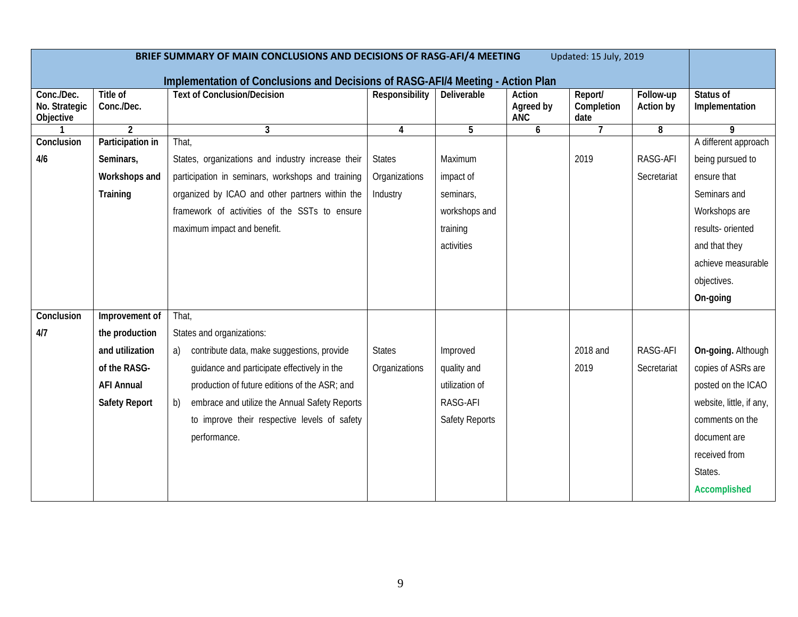| Updated: 15 July, 2019<br>BRIEF SUMMARY OF MAIN CONCLUSIONS AND DECISIONS OF RASG-AFI/4 MEETING |                        |                                                                                 |                |                |                                   |                               |                        |                             |
|-------------------------------------------------------------------------------------------------|------------------------|---------------------------------------------------------------------------------|----------------|----------------|-----------------------------------|-------------------------------|------------------------|-----------------------------|
|                                                                                                 |                        | Implementation of Conclusions and Decisions of RASG-AFI/4 Meeting - Action Plan |                |                |                                   |                               |                        |                             |
| Conc./Dec.<br>No. Strategic<br>Objective                                                        | Title of<br>Conc./Dec. | <b>Text of Conclusion/Decision</b>                                              | Responsibility | Deliverable    | Action<br>Agreed by<br><b>ANC</b> | Report/<br>Completion<br>date | Follow-up<br>Action by | Status of<br>Implementation |
|                                                                                                 | $\overline{2}$         | $\mathbf{3}$                                                                    | 4              | 5              | 6                                 | $\overline{7}$                | 8                      | 9                           |
| Conclusion                                                                                      | Participation in       | That,                                                                           |                |                |                                   |                               |                        | A different approach        |
| 4/6                                                                                             | Seminars,              | States, organizations and industry increase their                               | <b>States</b>  | Maximum        |                                   | 2019                          | RASG-AFI               | being pursued to            |
|                                                                                                 | Workshops and          | participation in seminars, workshops and training                               | Organizations  | impact of      |                                   |                               | Secretariat            | ensure that                 |
|                                                                                                 | Training               | organized by ICAO and other partners within the                                 | Industry       | seminars,      |                                   |                               |                        | Seminars and                |
|                                                                                                 |                        | framework of activities of the SSTs to ensure                                   |                | workshops and  |                                   |                               |                        | Workshops are               |
|                                                                                                 |                        | maximum impact and benefit.                                                     |                | training       |                                   |                               |                        | results- oriented           |
|                                                                                                 |                        |                                                                                 |                | activities     |                                   |                               |                        | and that they               |
|                                                                                                 |                        |                                                                                 |                |                |                                   |                               |                        | achieve measurable          |
|                                                                                                 |                        |                                                                                 |                |                |                                   |                               |                        | objectives.                 |
|                                                                                                 |                        |                                                                                 |                |                |                                   |                               |                        | On-going                    |
| Conclusion                                                                                      | Improvement of         | That,                                                                           |                |                |                                   |                               |                        |                             |
| 4/7                                                                                             | the production         | States and organizations:                                                       |                |                |                                   |                               |                        |                             |
|                                                                                                 | and utilization        | contribute data, make suggestions, provide<br>a)                                | <b>States</b>  | Improved       |                                   | 2018 and                      | RASG-AFI               | On-going. Although          |
|                                                                                                 | of the RASG-           | guidance and participate effectively in the                                     | Organizations  | quality and    |                                   | 2019                          | Secretariat            | copies of ASRs are          |
|                                                                                                 | <b>AFI Annual</b>      | production of future editions of the ASR; and                                   |                | utilization of |                                   |                               |                        | posted on the ICAO          |
|                                                                                                 | <b>Safety Report</b>   | embrace and utilize the Annual Safety Reports<br>b)                             |                | RASG-AFI       |                                   |                               |                        | website, little, if any,    |
|                                                                                                 |                        | to improve their respective levels of safety                                    |                | Safety Reports |                                   |                               |                        | comments on the             |
|                                                                                                 |                        | performance.                                                                    |                |                |                                   |                               |                        | document are                |
|                                                                                                 |                        |                                                                                 |                |                |                                   |                               |                        | received from               |
|                                                                                                 |                        |                                                                                 |                |                |                                   |                               |                        | States.                     |
|                                                                                                 |                        |                                                                                 |                |                |                                   |                               |                        | Accomplished                |
|                                                                                                 |                        |                                                                                 |                |                |                                   |                               |                        |                             |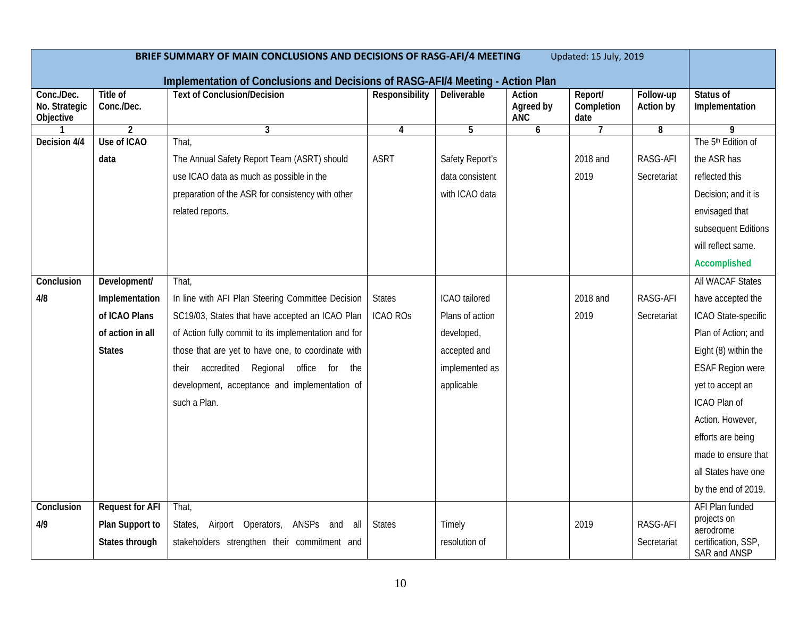| BRIEF SUMMARY OF MAIN CONCLUSIONS AND DECISIONS OF RASG-AFI/4 MEETING<br>Updated: 15 July, 2019 |                               |                                                                                 |                         |                 |                                   |                               |                        |                                     |
|-------------------------------------------------------------------------------------------------|-------------------------------|---------------------------------------------------------------------------------|-------------------------|-----------------|-----------------------------------|-------------------------------|------------------------|-------------------------------------|
|                                                                                                 |                               | Implementation of Conclusions and Decisions of RASG-AFI/4 Meeting - Action Plan |                         |                 |                                   |                               |                        |                                     |
| Conc./Dec.<br>No. Strategic<br>Objective                                                        | <b>Title of</b><br>Conc./Dec. | <b>Text of Conclusion/Decision</b>                                              | Responsibility          | Deliverable     | Action<br>Agreed by<br><b>ANC</b> | Report/<br>Completion<br>date | Follow-up<br>Action by | Status of<br>Implementation         |
|                                                                                                 | $\overline{2}$                | $\mathbf{3}$                                                                    | $\overline{\mathbf{4}}$ | 5               | 6                                 | $\overline{7}$                | 8                      | 9                                   |
| Decision 4/4                                                                                    | Use of ICAO                   | That,                                                                           |                         |                 |                                   |                               |                        | The 5 <sup>th</sup> Edition of      |
|                                                                                                 | data                          | The Annual Safety Report Team (ASRT) should                                     | <b>ASRT</b>             | Safety Report's |                                   | 2018 and                      | RASG-AFI               | the ASR has                         |
|                                                                                                 |                               | use ICAO data as much as possible in the                                        |                         | data consistent |                                   | 2019                          | Secretariat            | reflected this                      |
|                                                                                                 |                               | preparation of the ASR for consistency with other                               |                         | with ICAO data  |                                   |                               |                        | Decision; and it is                 |
|                                                                                                 |                               | related reports.                                                                |                         |                 |                                   |                               |                        | envisaged that                      |
|                                                                                                 |                               |                                                                                 |                         |                 |                                   |                               |                        | subsequent Editions                 |
|                                                                                                 |                               |                                                                                 |                         |                 |                                   |                               |                        | will reflect same.                  |
|                                                                                                 |                               |                                                                                 |                         |                 |                                   |                               |                        | <b>Accomplished</b>                 |
| Conclusion                                                                                      | Development/                  | That,                                                                           |                         |                 |                                   |                               |                        | <b>All WACAF States</b>             |
| 4/8                                                                                             | Implementation                | In line with AFI Plan Steering Committee Decision                               | <b>States</b>           | ICAO tailored   |                                   | 2018 and                      | RASG-AFI               | have accepted the                   |
|                                                                                                 | of ICAO Plans                 | SC19/03, States that have accepted an ICAO Plan                                 | <b>ICAO ROS</b>         | Plans of action |                                   | 2019                          | Secretariat            | ICAO State-specific                 |
|                                                                                                 | of action in all              | of Action fully commit to its implementation and for                            |                         | developed,      |                                   |                               |                        | Plan of Action; and                 |
|                                                                                                 | <b>States</b>                 | those that are yet to have one, to coordinate with                              |                         | accepted and    |                                   |                               |                        | Eight (8) within the                |
|                                                                                                 |                               | accredited Regional office for<br>the<br>their                                  |                         | implemented as  |                                   |                               |                        | <b>ESAF Region were</b>             |
|                                                                                                 |                               | development, acceptance and implementation of                                   |                         | applicable      |                                   |                               |                        | yet to accept an                    |
|                                                                                                 |                               | such a Plan.                                                                    |                         |                 |                                   |                               |                        | ICAO Plan of                        |
|                                                                                                 |                               |                                                                                 |                         |                 |                                   |                               |                        | Action. However,                    |
|                                                                                                 |                               |                                                                                 |                         |                 |                                   |                               |                        | efforts are being                   |
|                                                                                                 |                               |                                                                                 |                         |                 |                                   |                               |                        | made to ensure that                 |
|                                                                                                 |                               |                                                                                 |                         |                 |                                   |                               |                        | all States have one                 |
|                                                                                                 |                               |                                                                                 |                         |                 |                                   |                               |                        | by the end of 2019.                 |
| Conclusion                                                                                      | <b>Request for AFI</b>        | That,                                                                           |                         |                 |                                   |                               |                        | <b>AFI Plan funded</b>              |
| 4/9                                                                                             | Plan Support to               | Airport Operators, ANSPs and all<br>States,                                     | <b>States</b>           | Timely          |                                   | 2019                          | RASG-AFI               | projects on<br>aerodrome            |
|                                                                                                 | States through                | stakeholders strengthen their commitment and                                    |                         | resolution of   |                                   |                               | Secretariat            | certification, SSP,<br>SAR and ANSP |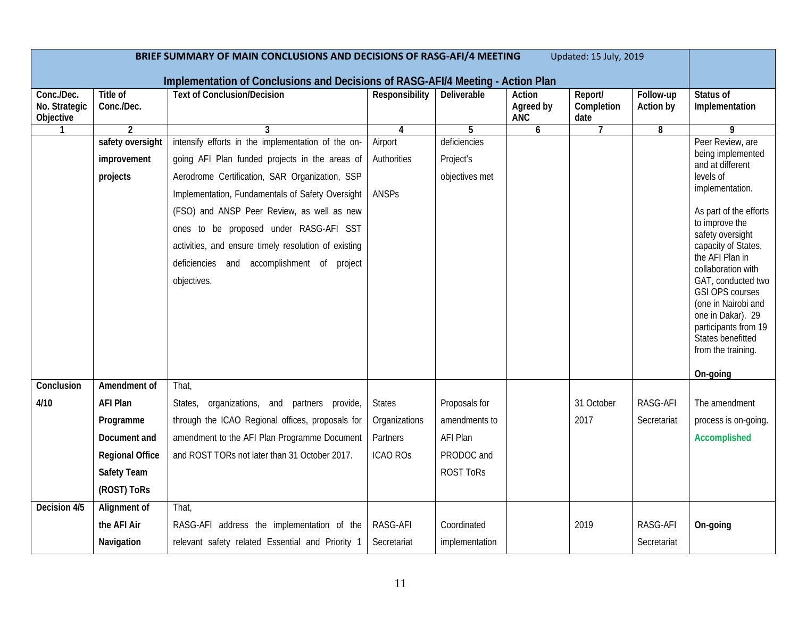| BRIEF SUMMARY OF MAIN CONCLUSIONS AND DECISIONS OF RASG-AFI/4 MEETING<br>Updated: 15 July, 2019 |                        |                                                                                                                       |                         |                  |                                   |                               |                        |                                                                                                                                                             |
|-------------------------------------------------------------------------------------------------|------------------------|-----------------------------------------------------------------------------------------------------------------------|-------------------------|------------------|-----------------------------------|-------------------------------|------------------------|-------------------------------------------------------------------------------------------------------------------------------------------------------------|
| Conc./Dec.<br>No. Strategic<br>Objective                                                        | Title of<br>Conc./Dec. | Implementation of Conclusions and Decisions of RASG-AFI/4 Meeting - Action Plan<br><b>Text of Conclusion/Decision</b> | Responsibility          | Deliverable      | Action<br>Agreed by<br><b>ANC</b> | Report/<br>Completion<br>date | Follow-up<br>Action by | Status of<br>Implementation                                                                                                                                 |
| $\mathbf{1}$                                                                                    | $\overline{2}$         | 3                                                                                                                     | $\overline{\mathbf{4}}$ | 5                | 6                                 | $\overline{7}$                | 8                      | $\overline{9}$                                                                                                                                              |
|                                                                                                 | safety oversight       | intensify efforts in the implementation of the on-                                                                    | Airport                 | deficiencies     |                                   |                               |                        | Peer Review, are                                                                                                                                            |
|                                                                                                 | improvement            | going AFI Plan funded projects in the areas of                                                                        | Authorities             | Project's        |                                   |                               |                        | being implemented<br>and at different                                                                                                                       |
|                                                                                                 | projects               | Aerodrome Certification, SAR Organization, SSP                                                                        |                         | objectives met   |                                   |                               |                        | levels of                                                                                                                                                   |
|                                                                                                 |                        | Implementation, Fundamentals of Safety Oversight                                                                      | ANSPs                   |                  |                                   |                               |                        | implementation.                                                                                                                                             |
|                                                                                                 |                        | (FSO) and ANSP Peer Review, as well as new                                                                            |                         |                  |                                   |                               |                        | As part of the efforts                                                                                                                                      |
|                                                                                                 |                        | ones to be proposed under RASG-AFI SST                                                                                |                         |                  |                                   |                               |                        | to improve the<br>safety oversight                                                                                                                          |
|                                                                                                 |                        | activities, and ensure timely resolution of existing                                                                  |                         |                  |                                   |                               |                        | capacity of States,                                                                                                                                         |
|                                                                                                 |                        | deficiencies and accomplishment of project                                                                            |                         |                  |                                   |                               |                        | the AFI Plan in<br>collaboration with                                                                                                                       |
|                                                                                                 |                        | objectives.                                                                                                           |                         |                  |                                   |                               |                        | GAT, conducted two<br><b>GSI OPS courses</b><br>(one in Nairobi and<br>one in Dakar). 29<br>participants from 19<br>States benefitted<br>from the training. |
| Conclusion                                                                                      | Amendment of           | That,                                                                                                                 |                         |                  |                                   |                               |                        | On-going                                                                                                                                                    |
| 4/10                                                                                            | <b>AFI Plan</b>        | organizations, and partners provide,<br>States,                                                                       | <b>States</b>           | Proposals for    |                                   | 31 October                    | RASG-AFI               | The amendment                                                                                                                                               |
|                                                                                                 | Programme              | through the ICAO Regional offices, proposals for                                                                      | Organizations           | amendments to    |                                   | 2017                          | Secretariat            | process is on-going.                                                                                                                                        |
|                                                                                                 | Document and           | amendment to the AFI Plan Programme Document                                                                          | Partners                | AFI Plan         |                                   |                               |                        | Accomplished                                                                                                                                                |
|                                                                                                 | <b>Regional Office</b> | and ROST TORs not later than 31 October 2017.                                                                         | <b>ICAO ROS</b>         | PRODOC and       |                                   |                               |                        |                                                                                                                                                             |
|                                                                                                 | Safety Team            |                                                                                                                       |                         | <b>ROST ToRs</b> |                                   |                               |                        |                                                                                                                                                             |
|                                                                                                 | (ROST) ToRs            |                                                                                                                       |                         |                  |                                   |                               |                        |                                                                                                                                                             |
| Decision 4/5                                                                                    | Alignment of           | That,                                                                                                                 |                         |                  |                                   |                               |                        |                                                                                                                                                             |
|                                                                                                 | the AFI Air            | RASG-AFI address the implementation of the                                                                            | RASG-AFI                | Coordinated      |                                   | 2019                          | RASG-AFI               | On-going                                                                                                                                                    |
|                                                                                                 | Navigation             | relevant safety related Essential and Priority 1                                                                      | Secretariat             | implementation   |                                   |                               | Secretariat            |                                                                                                                                                             |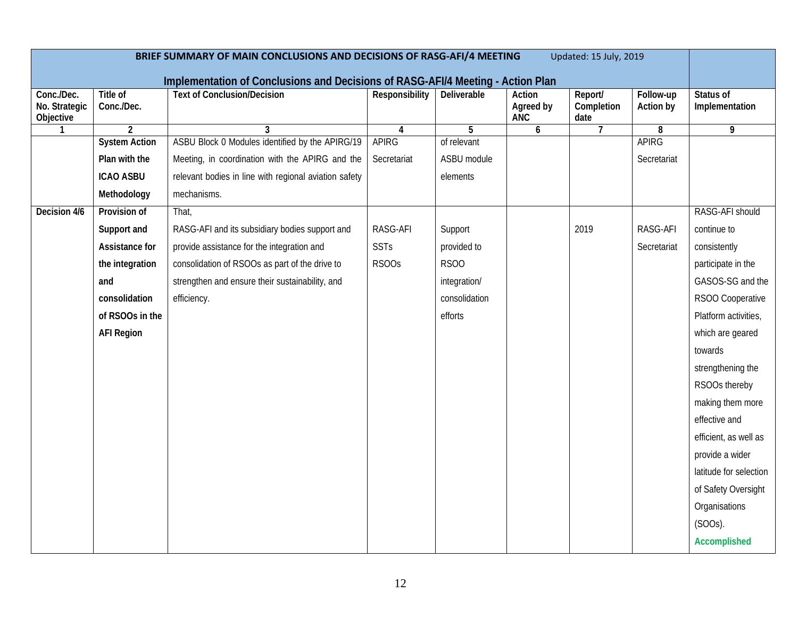| BRIEF SUMMARY OF MAIN CONCLUSIONS AND DECISIONS OF RASG-AFI/4 MEETING<br>Updated: 15 July, 2019 |                               |                                                                                 |                   |               |                                   |                               |                        |                             |
|-------------------------------------------------------------------------------------------------|-------------------------------|---------------------------------------------------------------------------------|-------------------|---------------|-----------------------------------|-------------------------------|------------------------|-----------------------------|
|                                                                                                 |                               | Implementation of Conclusions and Decisions of RASG-AFI/4 Meeting - Action Plan |                   |               |                                   |                               |                        |                             |
| Conc./Dec.<br>No. Strategic<br>Objective                                                        | <b>Title of</b><br>Conc./Dec. | <b>Text of Conclusion/Decision</b>                                              | Responsibility    | Deliverable   | Action<br>Agreed by<br><b>ANC</b> | Report/<br>Completion<br>date | Follow-up<br>Action by | Status of<br>Implementation |
| $\mathbf{1}$                                                                                    | $\overline{2}$                | 3                                                                               | 4                 | 5             | 6                                 | $\overline{7}$                | 8                      | 9                           |
|                                                                                                 | <b>System Action</b>          | ASBU Block 0 Modules identified by the APIRG/19                                 | <b>APIRG</b>      | of relevant   |                                   |                               | <b>APIRG</b>           |                             |
|                                                                                                 | Plan with the                 | Meeting, in coordination with the APIRG and the                                 | Secretariat       | ASBU module   |                                   |                               | Secretariat            |                             |
|                                                                                                 | <b>ICAO ASBU</b>              | relevant bodies in line with regional aviation safety                           |                   | elements      |                                   |                               |                        |                             |
|                                                                                                 | Methodology                   | mechanisms.                                                                     |                   |               |                                   |                               |                        |                             |
| Decision 4/6                                                                                    | Provision of                  | That,                                                                           |                   |               |                                   |                               |                        | RASG-AFI should             |
|                                                                                                 | Support and                   | RASG-AFI and its subsidiary bodies support and                                  | RASG-AFI          | Support       |                                   | 2019                          | RASG-AFI               | continue to                 |
|                                                                                                 | Assistance for                | provide assistance for the integration and                                      | <b>SSTs</b>       | provided to   |                                   |                               | Secretariat            | consistently                |
|                                                                                                 | the integration               | consolidation of RSOOs as part of the drive to                                  | RSOO <sub>S</sub> | <b>RSOO</b>   |                                   |                               |                        | participate in the          |
|                                                                                                 | and                           | strengthen and ensure their sustainability, and                                 |                   | integration/  |                                   |                               |                        | GASOS-SG and the            |
|                                                                                                 | consolidation                 | efficiency.                                                                     |                   | consolidation |                                   |                               |                        | RSOO Cooperative            |
|                                                                                                 | of RSOOs in the               |                                                                                 |                   | efforts       |                                   |                               |                        | Platform activities,        |
|                                                                                                 | <b>AFI Region</b>             |                                                                                 |                   |               |                                   |                               |                        | which are geared            |
|                                                                                                 |                               |                                                                                 |                   |               |                                   |                               |                        | towards                     |
|                                                                                                 |                               |                                                                                 |                   |               |                                   |                               |                        | strengthening the           |
|                                                                                                 |                               |                                                                                 |                   |               |                                   |                               |                        | RSOOs thereby               |
|                                                                                                 |                               |                                                                                 |                   |               |                                   |                               |                        | making them more            |
|                                                                                                 |                               |                                                                                 |                   |               |                                   |                               |                        | effective and               |
|                                                                                                 |                               |                                                                                 |                   |               |                                   |                               |                        | efficient, as well as       |
|                                                                                                 |                               |                                                                                 |                   |               |                                   |                               |                        | provide a wider             |
|                                                                                                 |                               |                                                                                 |                   |               |                                   |                               |                        | latitude for selection      |
|                                                                                                 |                               |                                                                                 |                   |               |                                   |                               |                        | of Safety Oversight         |
|                                                                                                 |                               |                                                                                 |                   |               |                                   |                               |                        | Organisations               |
|                                                                                                 |                               |                                                                                 |                   |               |                                   |                               |                        | $(SOOS)$ .                  |
|                                                                                                 |                               |                                                                                 |                   |               |                                   |                               |                        | Accomplished                |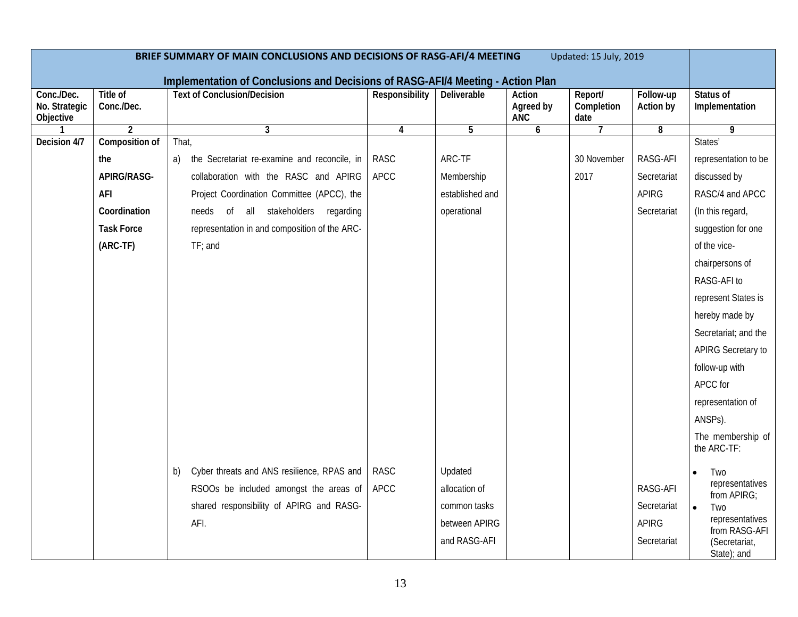| BRIEF SUMMARY OF MAIN CONCLUSIONS AND DECISIONS OF RASG-AFI/4 MEETING<br>Updated: 15 July, 2019 |                        |                                                                                                                       |                |                    |                                   |                               |                        |                                  |
|-------------------------------------------------------------------------------------------------|------------------------|-----------------------------------------------------------------------------------------------------------------------|----------------|--------------------|-----------------------------------|-------------------------------|------------------------|----------------------------------|
| Conc./Dec.<br>No. Strategic<br>Objective                                                        | Title of<br>Conc./Dec. | Implementation of Conclusions and Decisions of RASG-AFI/4 Meeting - Action Plan<br><b>Text of Conclusion/Decision</b> | Responsibility | <b>Deliverable</b> | Action<br>Agreed by<br><b>ANC</b> | Report/<br>Completion<br>date | Follow-up<br>Action by | Status of<br>Implementation      |
|                                                                                                 | $\overline{2}$         | $\mathbf{3}$                                                                                                          | 4              | 5                  | 6                                 | $\overline{7}$                | 8                      | 9                                |
| Decision 4/7                                                                                    | Composition of         | That,                                                                                                                 |                |                    |                                   |                               |                        | States'                          |
|                                                                                                 | the                    | the Secretariat re-examine and reconcile, in<br>a)                                                                    | <b>RASC</b>    | ARC-TF             |                                   | 30 November                   | RASG-AFI               | representation to be             |
|                                                                                                 | APIRG/RASG-            | collaboration with the RASC and APIRG                                                                                 | <b>APCC</b>    | Membership         |                                   | 2017                          | Secretariat            | discussed by                     |
|                                                                                                 | AFI                    | Project Coordination Committee (APCC), the                                                                            |                | established and    |                                   |                               | <b>APIRG</b>           | RASC/4 and APCC                  |
|                                                                                                 | Coordination           | of all stakeholders regarding<br>needs                                                                                |                | operational        |                                   |                               | Secretariat            | (In this regard,                 |
|                                                                                                 | <b>Task Force</b>      | representation in and composition of the ARC-                                                                         |                |                    |                                   |                               |                        | suggestion for one               |
|                                                                                                 | (ARC-TF)               | $TF$ ; and                                                                                                            |                |                    |                                   |                               |                        | of the vice-                     |
|                                                                                                 |                        |                                                                                                                       |                |                    |                                   |                               |                        | chairpersons of                  |
|                                                                                                 |                        |                                                                                                                       |                |                    |                                   |                               |                        | RASG-AFI to                      |
|                                                                                                 |                        |                                                                                                                       |                |                    |                                   |                               |                        | represent States is              |
|                                                                                                 |                        |                                                                                                                       |                |                    |                                   |                               |                        | hereby made by                   |
|                                                                                                 |                        |                                                                                                                       |                |                    |                                   |                               |                        | Secretariat; and the             |
|                                                                                                 |                        |                                                                                                                       |                |                    |                                   |                               |                        | APIRG Secretary to               |
|                                                                                                 |                        |                                                                                                                       |                |                    |                                   |                               |                        | follow-up with                   |
|                                                                                                 |                        |                                                                                                                       |                |                    |                                   |                               |                        | APCC for                         |
|                                                                                                 |                        |                                                                                                                       |                |                    |                                   |                               |                        | representation of                |
|                                                                                                 |                        |                                                                                                                       |                |                    |                                   |                               |                        | ANSPs).                          |
|                                                                                                 |                        |                                                                                                                       |                |                    |                                   |                               |                        | The membership of<br>the ARC-TF: |
|                                                                                                 |                        | Cyber threats and ANS resilience, RPAS and<br>b)                                                                      | <b>RASC</b>    | Updated            |                                   |                               |                        | Two<br>$\bullet$                 |
|                                                                                                 |                        | RSOOs be included amongst the areas of                                                                                | <b>APCC</b>    | allocation of      |                                   |                               | RASG-AFI               | representatives<br>from APIRG;   |
|                                                                                                 |                        | shared responsibility of APIRG and RASG-                                                                              |                | common tasks       |                                   |                               | Secretariat            | $\bullet$<br>Two                 |
|                                                                                                 |                        | AFI.                                                                                                                  |                | between APIRG      |                                   |                               | <b>APIRG</b>           | representatives<br>from RASG-AFI |
|                                                                                                 |                        |                                                                                                                       |                | and RASG-AFI       |                                   |                               | Secretariat            | (Secretariat,<br>State); and     |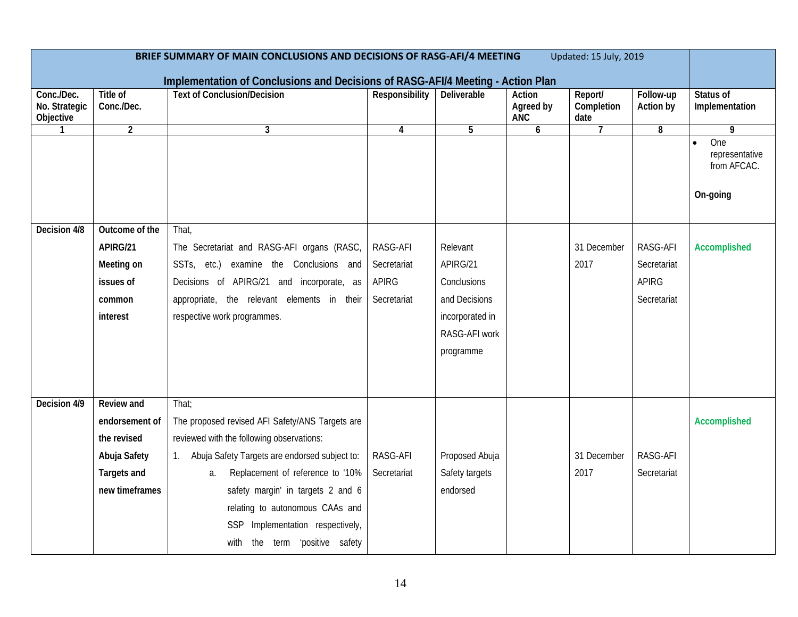| BRIEF SUMMARY OF MAIN CONCLUSIONS AND DECISIONS OF RASG-AFI/4 MEETING<br>Updated: 15 July, 2019 |                               |                                                                                                                       |                |                    |                                   |                               |                        |                                                  |
|-------------------------------------------------------------------------------------------------|-------------------------------|-----------------------------------------------------------------------------------------------------------------------|----------------|--------------------|-----------------------------------|-------------------------------|------------------------|--------------------------------------------------|
| Conc./Dec.<br>No. Strategic<br>Objective                                                        | <b>Title of</b><br>Conc./Dec. | Implementation of Conclusions and Decisions of RASG-AFI/4 Meeting - Action Plan<br><b>Text of Conclusion/Decision</b> | Responsibility | <b>Deliverable</b> | Action<br>Agreed by<br><b>ANC</b> | Report/<br>Completion<br>date | Follow-up<br>Action by | Status of<br>Implementation                      |
| $\mathbf{1}$                                                                                    | $\overline{2}$                | 3                                                                                                                     | 4              | 5                  | 6                                 | $\overline{7}$                | 8                      | 9                                                |
|                                                                                                 |                               |                                                                                                                       |                |                    |                                   |                               |                        | One<br>representative<br>from AFCAC.<br>On-going |
| Decision 4/8                                                                                    | Outcome of the                | That,                                                                                                                 |                |                    |                                   |                               |                        |                                                  |
|                                                                                                 | APIRG/21                      | The Secretariat and RASG-AFI organs (RASC,                                                                            | RASG-AFI       | Relevant           |                                   | 31 December                   | RASG-AFI               | Accomplished                                     |
|                                                                                                 | Meeting on                    | SSTs, etc.)<br>examine the Conclusions and                                                                            | Secretariat    | APIRG/21           |                                   | 2017                          | Secretariat            |                                                  |
|                                                                                                 | issues of                     | Decisions of APIRG/21 and incorporate, as                                                                             | <b>APIRG</b>   | Conclusions        |                                   |                               | <b>APIRG</b>           |                                                  |
|                                                                                                 | common                        | appropriate, the relevant elements in their                                                                           | Secretariat    | and Decisions      |                                   |                               | Secretariat            |                                                  |
|                                                                                                 | interest                      | respective work programmes.                                                                                           |                | incorporated in    |                                   |                               |                        |                                                  |
|                                                                                                 |                               |                                                                                                                       |                | RASG-AFI work      |                                   |                               |                        |                                                  |
|                                                                                                 |                               |                                                                                                                       |                | programme          |                                   |                               |                        |                                                  |
|                                                                                                 |                               |                                                                                                                       |                |                    |                                   |                               |                        |                                                  |
| Decision 4/9                                                                                    | <b>Review and</b>             | That;                                                                                                                 |                |                    |                                   |                               |                        |                                                  |
|                                                                                                 | endorsement of                | The proposed revised AFI Safety/ANS Targets are                                                                       |                |                    |                                   |                               |                        | Accomplished                                     |
|                                                                                                 | the revised                   | reviewed with the following observations:                                                                             |                |                    |                                   |                               |                        |                                                  |
|                                                                                                 | Abuja Safety                  | 1. Abuja Safety Targets are endorsed subject to:                                                                      | RASG-AFI       | Proposed Abuja     |                                   | 31 December                   | RASG-AFI               |                                                  |
|                                                                                                 | <b>Targets and</b>            | Replacement of reference to '10%<br>a.                                                                                | Secretariat    | Safety targets     |                                   | 2017                          | Secretariat            |                                                  |
|                                                                                                 | new timeframes                | safety margin' in targets 2 and 6                                                                                     |                | endorsed           |                                   |                               |                        |                                                  |
|                                                                                                 |                               | relating to autonomous CAAs and                                                                                       |                |                    |                                   |                               |                        |                                                  |
|                                                                                                 |                               | SSP Implementation respectively,                                                                                      |                |                    |                                   |                               |                        |                                                  |
|                                                                                                 |                               | with the term 'positive safety                                                                                        |                |                    |                                   |                               |                        |                                                  |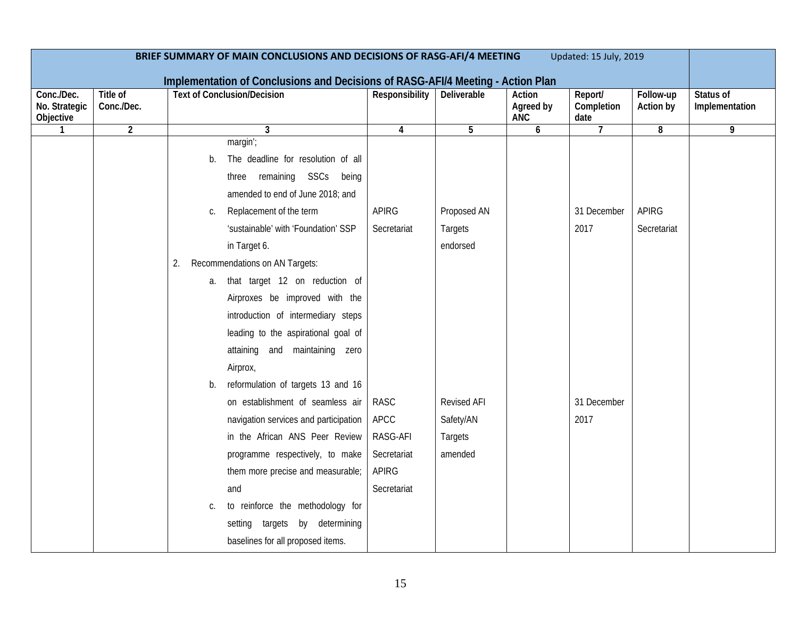| BRIEF SUMMARY OF MAIN CONCLUSIONS AND DECISIONS OF RASG-AFI/4 MEETING<br>Updated: 15 July, 2019 |                        |                                                                                                                                                                                                                                                                                                                                                                                                                                                                                                                                                                                                                                                                                                          |                                                                                                              |                                                                                                    |                            |                                            |                             |                             |
|-------------------------------------------------------------------------------------------------|------------------------|----------------------------------------------------------------------------------------------------------------------------------------------------------------------------------------------------------------------------------------------------------------------------------------------------------------------------------------------------------------------------------------------------------------------------------------------------------------------------------------------------------------------------------------------------------------------------------------------------------------------------------------------------------------------------------------------------------|--------------------------------------------------------------------------------------------------------------|----------------------------------------------------------------------------------------------------|----------------------------|--------------------------------------------|-----------------------------|-----------------------------|
| Implementation of Conclusions and Decisions of RASG-AFI/4 Meeting - Action Plan                 |                        |                                                                                                                                                                                                                                                                                                                                                                                                                                                                                                                                                                                                                                                                                                          |                                                                                                              |                                                                                                    |                            |                                            |                             |                             |
| Conc./Dec.<br>No. Strategic<br>Objective                                                        | Title of<br>Conc./Dec. | <b>Text of Conclusion/Decision</b>                                                                                                                                                                                                                                                                                                                                                                                                                                                                                                                                                                                                                                                                       | Responsibility                                                                                               | Deliverable                                                                                        | Action<br>Agreed by<br>ANC | Report/<br>Completion<br>date              | Follow-up<br>Action by      | Status of<br>Implementation |
|                                                                                                 | $\overline{2}$         | 3                                                                                                                                                                                                                                                                                                                                                                                                                                                                                                                                                                                                                                                                                                        | 4                                                                                                            | 5                                                                                                  | 6                          | $\overline{7}$                             | 8                           | 9                           |
|                                                                                                 |                        | margin';<br>The deadline for resolution of all<br>b.<br>remaining SSCs being<br>three<br>amended to end of June 2018; and<br>Replacement of the term<br>C.<br>'sustainable' with 'Foundation' SSP<br>in Target 6.<br>Recommendations on AN Targets:<br>2.<br>that target 12 on reduction of<br>a.<br>Airproxes be improved with the<br>introduction of intermediary steps<br>leading to the aspirational goal of<br>attaining and maintaining zero<br>Airprox,<br>reformulation of targets 13 and 16<br>b.<br>on establishment of seamless air<br>navigation services and participation<br>in the African ANS Peer Review<br>programme respectively, to make<br>them more precise and measurable;<br>and | <b>APIRG</b><br>Secretariat<br><b>RASC</b><br>APCC<br>RASG-AFI<br>Secretariat<br><b>APIRG</b><br>Secretariat | Proposed AN<br><b>Targets</b><br>endorsed<br>Revised AFI<br>Safety/AN<br><b>Targets</b><br>amended |                            | 31 December<br>2017<br>31 December<br>2017 | <b>APIRG</b><br>Secretariat |                             |
|                                                                                                 |                        | to reinforce the methodology for<br>C.<br>setting targets by determining<br>baselines for all proposed items.                                                                                                                                                                                                                                                                                                                                                                                                                                                                                                                                                                                            |                                                                                                              |                                                                                                    |                            |                                            |                             |                             |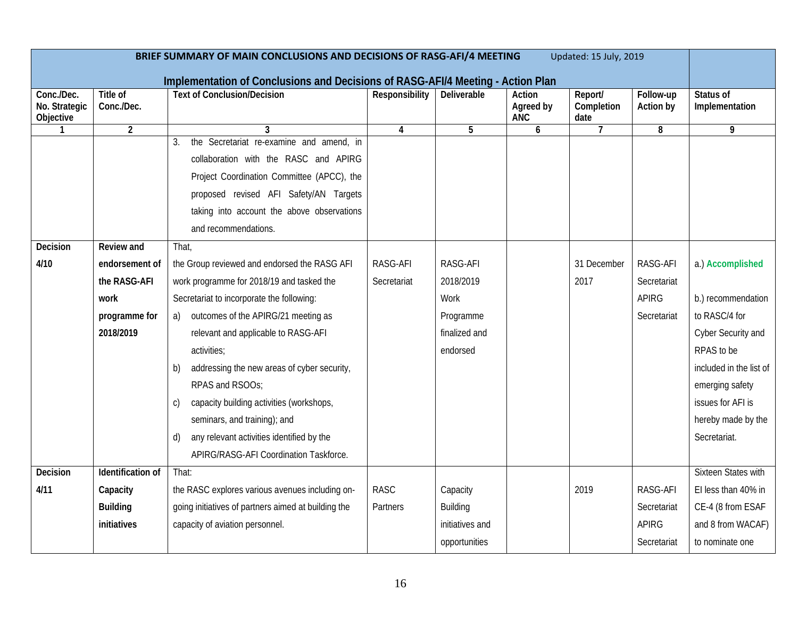| Updated: 15 July, 2019<br>BRIEF SUMMARY OF MAIN CONCLUSIONS AND DECISIONS OF RASG-AFI/4 MEETING<br>Implementation of Conclusions and Decisions of RASG-AFI/4 Meeting - Action Plan |                               |                                                     |                |                 |                                   |                               |                               |                             |
|------------------------------------------------------------------------------------------------------------------------------------------------------------------------------------|-------------------------------|-----------------------------------------------------|----------------|-----------------|-----------------------------------|-------------------------------|-------------------------------|-----------------------------|
| Conc./Dec.<br>No. Strategic<br>Objective                                                                                                                                           | <b>Title of</b><br>Conc./Dec. | <b>Text of Conclusion/Decision</b>                  | Responsibility | Deliverable     | Action<br>Agreed by<br><b>ANC</b> | Report/<br>Completion<br>date | Follow-up<br><b>Action by</b> | Status of<br>Implementation |
| $\mathbf{1}$                                                                                                                                                                       | $\overline{2}$                | 3                                                   | $\overline{4}$ | 5               | 6                                 | $\overline{7}$                | 8                             | 9                           |
|                                                                                                                                                                                    |                               | the Secretariat re-examine and amend, in<br>3.      |                |                 |                                   |                               |                               |                             |
|                                                                                                                                                                                    |                               | collaboration with the RASC and APIRG               |                |                 |                                   |                               |                               |                             |
|                                                                                                                                                                                    |                               | Project Coordination Committee (APCC), the          |                |                 |                                   |                               |                               |                             |
|                                                                                                                                                                                    |                               | proposed revised AFI Safety/AN Targets              |                |                 |                                   |                               |                               |                             |
|                                                                                                                                                                                    |                               | taking into account the above observations          |                |                 |                                   |                               |                               |                             |
|                                                                                                                                                                                    |                               | and recommendations.                                |                |                 |                                   |                               |                               |                             |
| Decision                                                                                                                                                                           | Review and                    | That,                                               |                |                 |                                   |                               |                               |                             |
| 4/10                                                                                                                                                                               | endorsement of                | the Group reviewed and endorsed the RASG AFI        | RASG-AFI       | RASG-AFI        |                                   | 31 December                   | RASG-AFI                      | a.) Accomplished            |
|                                                                                                                                                                                    | the RASG-AFI                  | work programme for 2018/19 and tasked the           | Secretariat    | 2018/2019       |                                   | 2017                          | Secretariat                   |                             |
|                                                                                                                                                                                    | work                          | Secretariat to incorporate the following:           |                | Work            |                                   |                               | <b>APIRG</b>                  | b.) recommendation          |
|                                                                                                                                                                                    | programme for                 | a) outcomes of the APIRG/21 meeting as              |                | Programme       |                                   |                               | Secretariat                   | to RASC/4 for               |
|                                                                                                                                                                                    | 2018/2019                     | relevant and applicable to RASG-AFI                 |                | finalized and   |                                   |                               |                               | Cyber Security and          |
|                                                                                                                                                                                    |                               | activities;                                         |                | endorsed        |                                   |                               |                               | RPAS to be                  |
|                                                                                                                                                                                    |                               | addressing the new areas of cyber security,<br>b)   |                |                 |                                   |                               |                               | included in the list of     |
|                                                                                                                                                                                    |                               | RPAS and RSOOs;                                     |                |                 |                                   |                               |                               | emerging safety             |
|                                                                                                                                                                                    |                               | capacity building activities (workshops,<br>C)      |                |                 |                                   |                               |                               | issues for AFI is           |
|                                                                                                                                                                                    |                               | seminars, and training); and                        |                |                 |                                   |                               |                               | hereby made by the          |
|                                                                                                                                                                                    |                               | any relevant activities identified by the<br>d)     |                |                 |                                   |                               |                               | Secretariat.                |
|                                                                                                                                                                                    |                               | APIRG/RASG-AFI Coordination Taskforce.              |                |                 |                                   |                               |                               |                             |
| Decision                                                                                                                                                                           | Identification of             | That:                                               |                |                 |                                   |                               |                               | <b>Sixteen States with</b>  |
| 4/11                                                                                                                                                                               | Capacity                      | the RASC explores various avenues including on-     | <b>RASC</b>    | Capacity        |                                   | 2019                          | RASG-AFI                      | El less than 40% in         |
|                                                                                                                                                                                    | <b>Building</b>               | going initiatives of partners aimed at building the | Partners       | Building        |                                   |                               | Secretariat                   | CE-4 (8 from ESAF           |
|                                                                                                                                                                                    | initiatives                   | capacity of aviation personnel.                     |                | initiatives and |                                   |                               | <b>APIRG</b>                  | and 8 from WACAF)           |
|                                                                                                                                                                                    |                               |                                                     |                | opportunities   |                                   |                               | Secretariat                   | to nominate one             |
|                                                                                                                                                                                    |                               |                                                     |                |                 |                                   |                               |                               |                             |